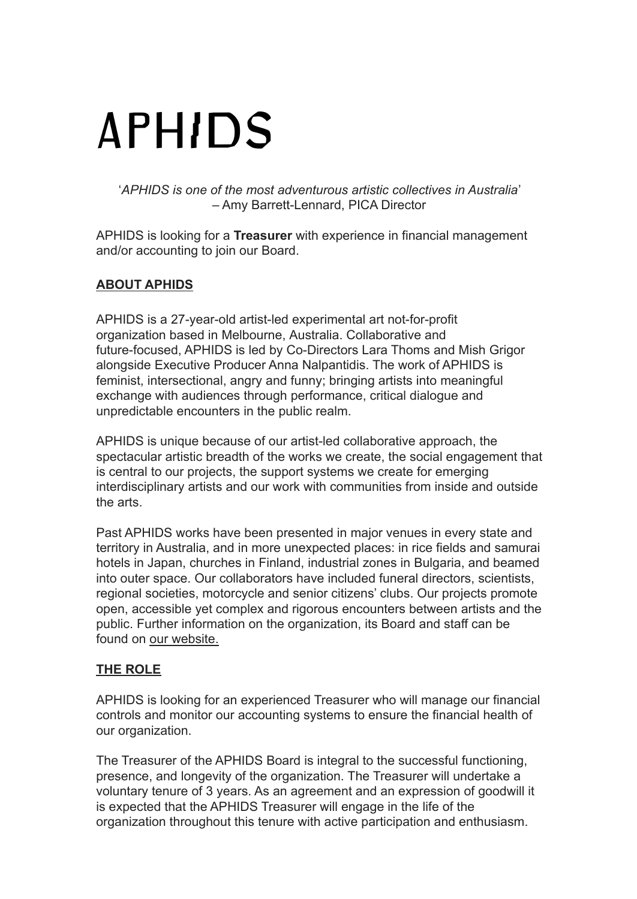# APHIDS

'*APHIDS is one of the most adventurous artistic collectives in Australia*' – Amy Barrett-Lennard, PICA Director

APHIDS is looking for a **Treasurer** with experience in financial management and/or accounting to join our Board.

## **ABOUT APHIDS**

APHIDS is a 27-year-old artist-led experimental art not-for-profit organization based in Melbourne, Australia. Collaborative and future-focused, APHIDS is led by Co-Directors Lara Thoms and Mish Grigor alongside Executive Producer Anna Nalpantidis. The work of APHIDS is feminist, intersectional, angry and funny; bringing artists into meaningful exchange with audiences through performance, critical dialogue and unpredictable encounters in the public realm.

APHIDS is unique because of our artist-led collaborative approach, the spectacular artistic breadth of the works we create, the social engagement that is central to our projects, the support systems we create for emerging interdisciplinary artists and our work with communities from inside and outside the arts.

Past APHIDS works have been presented in major venues in every state and territory in Australia, and in more unexpected places: in rice fields and samurai hotels in Japan, churches in Finland, industrial zones in Bulgaria, and beamed into outer space. Our collaborators have included funeral directors, scientists, regional societies, motorcycle and senior citizens' clubs. Our projects promote open, accessible yet complex and rigorous encounters between artists and the public. Further information on the organization, its Board and staff can be found on [our website.](https://aphids.net/about/people/)

## **THE ROLE**

APHIDS is looking for an experienced Treasurer who will manage our financial controls and monitor our accounting systems to ensure the financial health of our organization.

The Treasurer of the APHIDS Board is integral to the successful functioning, presence, and longevity of the organization. The Treasurer will undertake a voluntary tenure of 3 years. As an agreement and an expression of goodwill it is expected that the APHIDS Treasurer will engage in the life of the organization throughout this tenure with active participation and enthusiasm.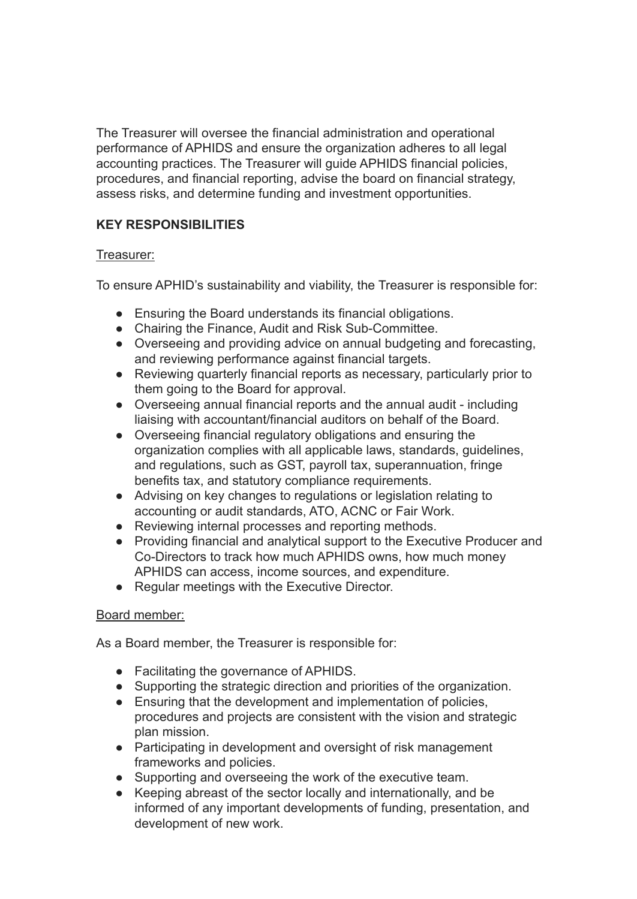The Treasurer will oversee the financial administration and operational performance of APHIDS and ensure the organization adheres to all legal accounting practices. The Treasurer will guide APHIDS financial policies, procedures, and financial reporting, advise the board on financial strategy, assess risks, and determine funding and investment opportunities.

## **KEY RESPONSIBILITIES**

#### Treasurer:

To ensure APHID's sustainability and viability, the Treasurer is responsible for:

- Ensuring the Board understands its financial obligations.
- Chairing the Finance, Audit and Risk Sub-Committee.
- Overseeing and providing advice on annual budgeting and forecasting, and reviewing performance against financial targets.
- Reviewing quarterly financial reports as necessary, particularly prior to them going to the Board for approval.
- Overseeing annual financial reports and the annual audit including liaising with accountant/financial auditors on behalf of the Board.
- Overseeing financial regulatory obligations and ensuring the organization complies with all applicable laws, standards, guidelines, and regulations, such as GST, payroll tax, superannuation, fringe benefits tax, and statutory compliance requirements.
- Advising on key changes to regulations or legislation relating to accounting or audit standards, ATO, ACNC or Fair Work.
- Reviewing internal processes and reporting methods.
- Providing financial and analytical support to the Executive Producer and Co-Directors to track how much APHIDS owns, how much money APHIDS can access, income sources, and expenditure.
- Regular meetings with the Executive Director.

## Board member:

As a Board member, the Treasurer is responsible for:

- Facilitating the governance of APHIDS.
- Supporting the strategic direction and priorities of the organization.
- Ensuring that the development and implementation of policies, procedures and projects are consistent with the vision and strategic plan mission.
- Participating in development and oversight of risk management frameworks and policies.
- Supporting and overseeing the work of the executive team.
- Keeping abreast of the sector locally and internationally, and be informed of any important developments of funding, presentation, and development of new work.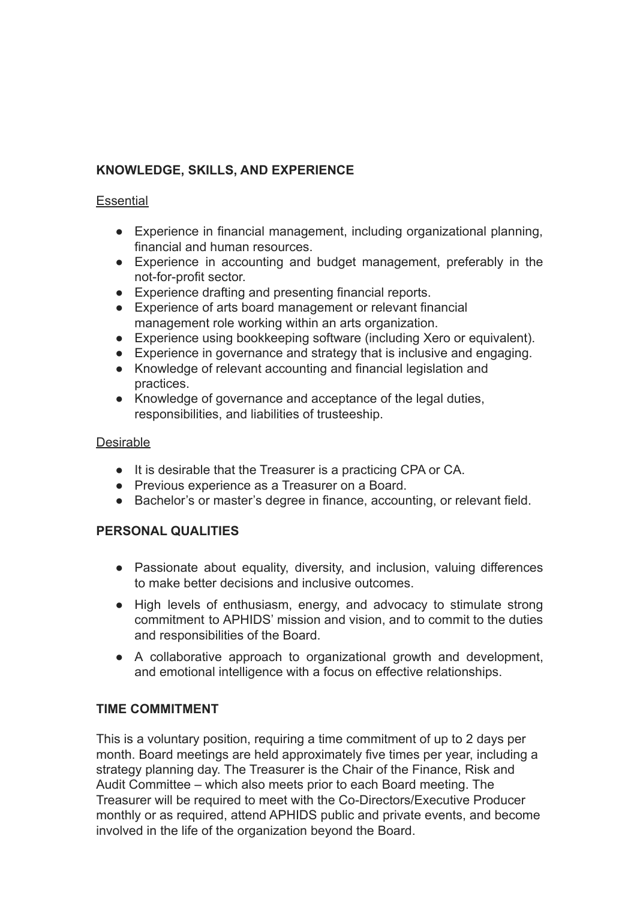# **KNOWLEDGE, SKILLS, AND EXPERIENCE**

#### **Essential**

- Experience in financial management, including organizational planning, financial and human resources.
- Experience in accounting and budget management, preferably in the not-for-profit sector.
- Experience drafting and presenting financial reports.
- Experience of arts board management or relevant financial management role working within an arts organization.
- Experience using bookkeeping software (including Xero or equivalent).
- Experience in governance and strategy that is inclusive and engaging.
- Knowledge of relevant accounting and financial legislation and practices.
- Knowledge of governance and acceptance of the legal duties, responsibilities, and liabilities of trusteeship.

#### Desirable

- It is desirable that the Treasurer is a practicing CPA or CA.
- Previous experience as a Treasurer on a Board.
- Bachelor's or master's degree in finance, accounting, or relevant field.

# **PERSONAL QUALITIES**

- Passionate about equality, diversity, and inclusion, valuing differences to make better decisions and inclusive outcomes.
- High levels of enthusiasm, energy, and advocacy to stimulate strong commitment to APHIDS' mission and vision, and to commit to the duties and responsibilities of the Board.
- A collaborative approach to organizational growth and development, and emotional intelligence with a focus on effective relationships.

## **TIME COMMITMENT**

This is a voluntary position, requiring a time commitment of up to 2 days per month. Board meetings are held approximately five times per year, including a strategy planning day. The Treasurer is the Chair of the Finance, Risk and Audit Committee – which also meets prior to each Board meeting. The Treasurer will be required to meet with the Co-Directors/Executive Producer monthly or as required, attend APHIDS public and private events, and become involved in the life of the organization beyond the Board.